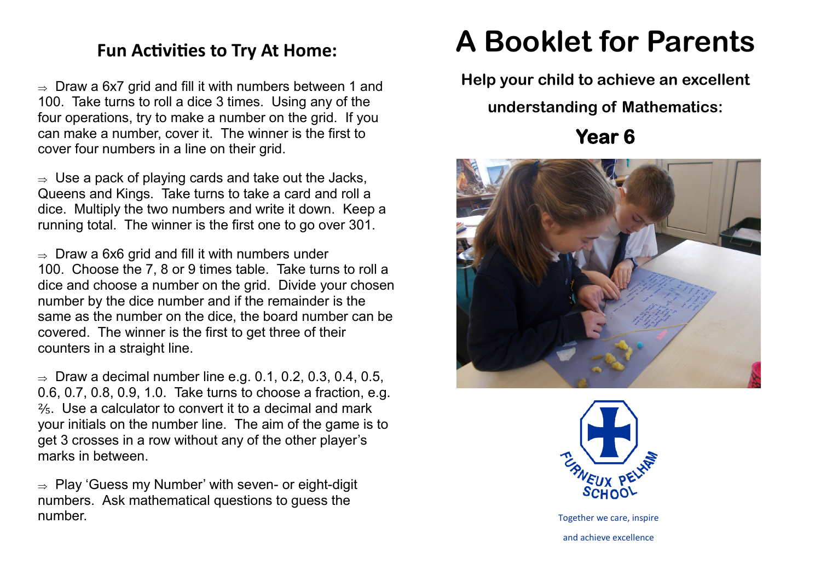## **Fun Activities to Try At Home:**

 $\Rightarrow$  Draw a 6x7 grid and fill it with numbers between 1 and 100. Take turns to roll a dice 3 times. Using any of the four operations, try to make a number on the grid. If you can make a number, cover it. The winner is the first to cover four numbers in a line on their grid.

 $\Rightarrow$  Use a pack of playing cards and take out the Jacks, Queens and Kings. Take turns to take a card and roll a dice. Multiply the two numbers and write it down. Keep a running total. The winner is the first one to go over 301.

 $\Rightarrow$  Draw a 6x6 grid and fill it with numbers under 100. Choose the 7, 8 or 9 times table. Take turns to roll a dice and choose a number on the grid. Divide your chosen number by the dice number and if the remainder is the same as the number on the dice, the board number can be covered. The winner is the first to get three of their counters in a straight line.

 $\Rightarrow$  Draw a decimal number line e.g. 0.1, 0.2, 0.3, 0.4, 0.5, 0.6, 0.7, 0.8, 0.9, 1.0. Take turns to choose a fraction, e.g. ⅖. Use a calculator to convert it to a decimal and mark your initials on the number line. The aim of the game is to get 3 crosses in a row without any of the other player's marks in between.

 $\Rightarrow$  Play 'Guess my Number' with seven- or eight-digit numbers. Ask mathematical questions to guess the number.

## **A Booklet for Parents**

**Help your child to achieve an excellent** 

**understanding of Mathematics:**

**Year 6** 





Together we care, inspire and achieve excellence